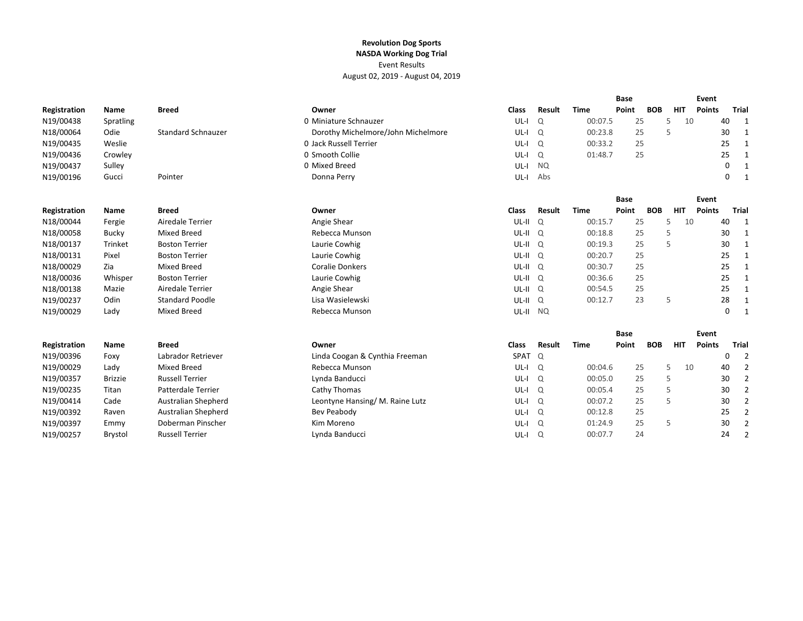|              |                |                           |                                    |              |           |             | <b>Base</b> |            |            | Event         |    |                         |
|--------------|----------------|---------------------------|------------------------------------|--------------|-----------|-------------|-------------|------------|------------|---------------|----|-------------------------|
| Registration | Name           | <b>Breed</b>              | Owner                              | <b>Class</b> | Result    | <b>Time</b> | Point       | <b>BOB</b> | <b>HIT</b> | <b>Points</b> |    | Trial                   |
| N19/00438    | Spratling      |                           | 0 Miniature Schnauzer              | $UL-I$       | Q         | 00:07.5     | 25          |            | 5<br>10    |               | 40 | $\mathbf{1}$            |
| N18/00064    | Odie           | <b>Standard Schnauzer</b> | Dorothy Michelmore/John Michelmore | $UL-I$       | Q         | 00:23.8     | 25          |            | 5          |               | 30 | $\mathbf{1}$            |
| N19/00435    | Weslie         |                           | 0 Jack Russell Terrier             | $UL-I$       | $\Omega$  | 00:33.2     | 25          |            |            |               | 25 | -1                      |
| N19/00436    | Crowley        |                           | 0 Smooth Collie                    | $UL-I$       | Q         | 01:48.7     | 25          |            |            |               | 25 | $\overline{\mathbf{1}}$ |
| N19/00437    | Sulley         |                           | 0 Mixed Breed                      | $UL-I$       | <b>NQ</b> |             |             |            |            |               | 0  | $\overline{\mathbf{1}}$ |
| N19/00196    | Gucci          | Pointer                   | Donna Perry                        | $UL-I$       | Abs       |             |             |            |            |               | 0  | $\mathbf{1}$            |
|              |                |                           |                                    |              |           |             | <b>Base</b> |            |            | Event         |    |                         |
| Registration | Name           | <b>Breed</b>              | Owner                              | <b>Class</b> | Result    | <b>Time</b> | Point       | <b>BOB</b> | <b>HIT</b> | <b>Points</b> |    | Trial                   |
| N18/00044    | Fergie         | Airedale Terrier          | Angie Shear                        | UL-II        | Q         | 00:15.7     | 25          |            | 5<br>10    |               | 40 | $\mathbf{1}$            |
| N18/00058    | Bucky          | <b>Mixed Breed</b>        | Rebecca Munson                     | $UL-II$ $Q$  |           | 00:18.8     | 25          |            | 5          |               | 30 | $\mathbf{1}$            |
| N18/00137    | Trinket        | <b>Boston Terrier</b>     | Laurie Cowhig                      | $UL-II$ $Q$  |           | 00:19.3     | 25          |            | 5          |               | 30 | $\mathbf{1}$            |
| N18/00131    | Pixel          | <b>Boston Terrier</b>     | Laurie Cowhig                      | $UL-II$ $Q$  |           | 00:20.7     | 25          |            |            |               | 25 | $\overline{\mathbf{1}}$ |
| N18/00029    | Zia            | <b>Mixed Breed</b>        | <b>Coralie Donkers</b>             | $UL-II$ $Q$  |           | 00:30.7     | 25          |            |            |               | 25 | $\mathbf{1}$            |
| N18/00036    | Whisper        | <b>Boston Terrier</b>     | Laurie Cowhig                      | $UL-II$ $Q$  |           | 00:36.6     | 25          |            |            |               | 25 | -1                      |
| N18/00138    | Mazie          | <b>Airedale Terrier</b>   | Angie Shear                        | $UL-II$ $Q$  |           | 00:54.5     | 25          |            |            |               | 25 | -1                      |
| N19/00237    | Odin           | <b>Standard Poodle</b>    | Lisa Wasielewski                   | UL-II        | Q         | 00:12.7     | 23          |            | 5          |               | 28 | $\overline{\mathbf{1}}$ |
| N19/00029    | Lady           | <b>Mixed Breed</b>        | Rebecca Munson                     | UL-II NQ     |           |             |             |            |            |               | 0  | $\mathbf{1}$            |
|              |                |                           |                                    |              |           |             | <b>Base</b> |            |            | Event         |    |                         |
| Registration | Name           | <b>Breed</b>              | Owner                              | <b>Class</b> | Result    | <b>Time</b> | Point       | <b>BOB</b> | <b>HIT</b> | <b>Points</b> |    | <b>Trial</b>            |
| N19/00396    | Foxy           | Labrador Retriever        | Linda Coogan & Cynthia Freeman     | SPAT         | Q         |             |             |            |            |               | 0  | -2                      |
| N19/00029    | Lady           | <b>Mixed Breed</b>        | Rebecca Munson                     | $UL-I$       | $\Omega$  | 00:04.6     | 25          |            | 5<br>10    |               | 40 | 2                       |
| N19/00357    | <b>Brizzie</b> | <b>Russell Terrier</b>    | Lynda Banducci                     | $UL-I$       | $\Omega$  | 00:05.0     | 25          |            | 5          |               | 30 | $\overline{2}$          |
| N19/00235    | Titan          | Patterdale Terrier        | Cathy Thomas                       | $UL-I$       | Q         | 00:05.4     | 25          |            | 5          |               | 30 | $\overline{2}$          |
| N19/00414    | Cade           | Australian Shepherd       | Leontyne Hansing/M. Raine Lutz     | $UL-I$       | $\Omega$  | 00:07.2     | 25          |            | 5          |               | 30 | $\overline{2}$          |
| N19/00392    | Raven          | Australian Shepherd       | Bev Peabody                        | $UL-I$       | Q         | 00:12.8     | 25          |            |            |               | 25 | $\overline{2}$          |
| N19/00397    | Emmy           | Doberman Pinscher         | Kim Moreno                         | $UL-I$       | Q         | 01:24.9     | 25          |            | 5          |               | 30 | $\overline{2}$          |
| N19/00257    | <b>Brystol</b> | <b>Russell Terrier</b>    | Lynda Banducci                     | $UL-I$       | $\Omega$  | 00:07.7     | 24          |            |            |               | 24 | $\overline{2}$          |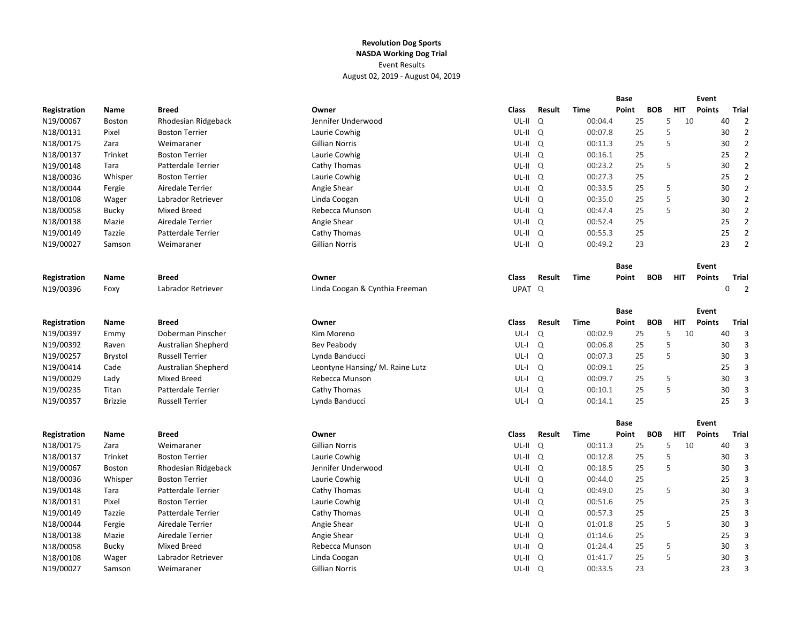|              |                |                            |                                |                    |          |             | <b>Base</b> |            |            | Event         |    |                          |
|--------------|----------------|----------------------------|--------------------------------|--------------------|----------|-------------|-------------|------------|------------|---------------|----|--------------------------|
| Registration | Name           | <b>Breed</b>               | Owner                          | Class              | Result   | Time        | Point       | <b>BOB</b> | <b>HIT</b> | <b>Points</b> |    | Trial                    |
| N19/00067    | <b>Boston</b>  | Rhodesian Ridgeback        | Jennifer Underwood             | UL-II              | $\Omega$ | 00:04.4     | 25          |            | 5<br>10    |               | 40 | $\overline{2}$           |
| N18/00131    | Pixel          | <b>Boston Terrier</b>      | Laurie Cowhig                  | UL-II Q            |          | 00:07.8     | 25          |            | 5          |               | 30 | $\overline{2}$           |
| N18/00175    | Zara           | Weimaraner                 | Gillian Norris                 | UL-II Q            |          | 00:11.3     | 25          |            | 5          |               | 30 | $\overline{2}$           |
| N18/00137    | Trinket        | <b>Boston Terrier</b>      | Laurie Cowhig                  | UL-II Q            |          | 00:16.1     | 25          |            |            |               | 25 | $\overline{2}$           |
| N19/00148    | Tara           | Patterdale Terrier         | Cathy Thomas                   | $UL-II$ $Q$        |          | 00:23.2     | 25          |            | 5          |               | 30 | $\overline{2}$           |
| N18/00036    | Whisper        | <b>Boston Terrier</b>      | Laurie Cowhig                  | UL-II Q            |          | 00:27.3     | 25          |            |            |               | 25 | $\overline{2}$           |
| N18/00044    | Fergie         | Airedale Terrier           | Angie Shear                    | $UL-II$ $Q$        |          | 00:33.5     | 25          |            | 5          |               | 30 | $\overline{2}$           |
| N18/00108    | Wager          | Labrador Retriever         | Linda Coogan                   | UL-II Q            |          | 00:35.0     | 25          |            | 5          |               | 30 | $\overline{2}$           |
| N18/00058    | <b>Bucky</b>   | Mixed Breed                | Rebecca Munson                 | UL-II <sub>Q</sub> |          | 00:47.4     | 25          |            | 5          |               | 30 | $\overline{2}$           |
| N18/00138    | Mazie          | Airedale Terrier           | Angie Shear                    | UL-II <sub>Q</sub> |          | 00:52.4     | 25          |            |            |               | 25 | $\overline{2}$           |
| N19/00149    | Tazzie         | Patterdale Terrier         | Cathy Thomas                   | UL-II Q            |          | 00:55.3     | 25          |            |            |               | 25 | $\overline{2}$           |
| N19/00027    | Samson         | Weimaraner                 | Gillian Norris                 | UL-II Q            |          | 00:49.2     | 23          |            |            |               | 23 | $\overline{2}$           |
|              |                |                            |                                |                    |          |             | <b>Base</b> |            |            | Event         |    |                          |
| Registration | Name           | <b>Breed</b>               | Owner                          | <b>Class</b>       | Result   | <b>Time</b> | Point       | <b>BOB</b> | <b>HIT</b> | <b>Points</b> |    | <b>Trial</b>             |
| N19/00396    | Foxy           | Labrador Retriever         | Linda Coogan & Cynthia Freeman | UPAT <sup>Q</sup>  |          |             |             |            |            |               | 0  | $\overline{\phantom{0}}$ |
|              |                |                            |                                |                    |          |             |             |            |            |               |    |                          |
|              |                |                            |                                |                    |          |             | Base        |            |            | Event         |    |                          |
| Registration | Name           | <b>Breed</b>               | Owner                          | <b>Class</b>       | Result   | <b>Time</b> | Point       | <b>BOB</b> | <b>HIT</b> | <b>Points</b> |    | <b>Trial</b>             |
| N19/00397    | Emmy           | Doberman Pinscher          | Kim Moreno                     | $UL-I$             | $\Omega$ | 00:02.9     | 25          |            | 5          | 10            | 40 | $\overline{3}$           |
| N19/00392    | Raven          | <b>Australian Shepherd</b> | Bev Peabody                    | UL-I               | Q        | 00:06.8     | 25          |            | 5          |               | 30 | 3                        |
| N19/00257    | <b>Brystol</b> | <b>Russell Terrier</b>     | Lynda Banducci                 | UL-I               | Q        | 00:07.3     | 25          |            | 5          |               | 30 | $\overline{3}$           |
| N19/00414    | Cade           | Australian Shepherd        | Leontyne Hansing/M. Raine Lutz | $UL-I$             | Q        | 00:09.1     | 25          |            |            |               | 25 | $\overline{3}$           |
| N19/00029    | Lady           | <b>Mixed Breed</b>         | Rebecca Munson                 | UL-I               | Q        | 00:09.7     | 25          |            | 5          |               | 30 | 3                        |
| N19/00235    | Titan          | Patterdale Terrier         | Cathy Thomas                   | UL-I               | Q        | 00:10.1     | 25          |            | 5          |               | 30 | 3                        |
| N19/00357    | <b>Brizzie</b> | <b>Russell Terrier</b>     | Lynda Banducci                 | UL-I               | Q        | 00:14.1     | 25          |            |            |               | 25 | $\overline{3}$           |
|              |                |                            |                                |                    |          |             | <b>Base</b> |            |            | Event         |    |                          |
| Registration | Name           | <b>Breed</b>               | Owner                          | <b>Class</b>       | Result   | <b>Time</b> | Point       | <b>BOB</b> | <b>HIT</b> | <b>Points</b> |    | Trial                    |
| N18/00175    | Zara           | Weimaraner                 | <b>Gillian Norris</b>          | UL-II Q            |          | 00:11.3     | 25          |            | 5          | 10            | 40 | $\overline{3}$           |
| N18/00137    | Trinket        | <b>Boston Terrier</b>      | Laurie Cowhig                  | UL-II Q            |          | 00:12.8     | 25          |            | 5          |               | 30 | 3                        |
| N19/00067    | Boston         | Rhodesian Ridgeback        | Jennifer Underwood             | UL-II <sub>Q</sub> |          | 00:18.5     | 25          |            | 5          |               | 30 | 3                        |
| N18/00036    | Whisper        | <b>Boston Terrier</b>      | Laurie Cowhig                  | UL-II <sub>Q</sub> |          | 00:44.0     | 25          |            |            |               | 25 | $\overline{3}$           |
| N19/00148    | Tara           | Patterdale Terrier         | Cathy Thomas                   | UL-II <sub>Q</sub> |          | 00:49.0     | 25          |            | 5          |               | 30 | $\overline{3}$           |
| N18/00131    | Pixel          | <b>Boston Terrier</b>      | Laurie Cowhig                  | UL-II <sub>Q</sub> |          | 00:51.6     | 25          |            |            |               | 25 | 3                        |
| N19/00149    | Tazzie         | Patterdale Terrier         | Cathy Thomas                   | UL-II Q            |          | 00:57.3     | 25          |            |            |               | 25 | 3                        |
| N18/00044    | Fergie         | Airedale Terrier           | Angie Shear                    | UL-II Q            |          | 01:01.8     | 25          |            | 5          |               | 30 | $\overline{3}$           |
| N18/00138    | Mazie          | Airedale Terrier           | Angie Shear                    | UL-II Q            |          | 01:14.6     | 25          |            |            |               | 25 | $\overline{3}$           |
| N18/00058    | <b>Bucky</b>   | <b>Mixed Breed</b>         | Rebecca Munson                 | UL-II Q            |          | 01:24.4     | 25          |            | 5          |               | 30 | 3                        |
| N18/00108    | Wager          | Labrador Retriever         | Linda Coogan                   | UL-II Q            |          | 01:41.7     | 25          |            | 5          |               | 30 | 3                        |
| N19/00027    | Samson         | Weimaraner                 | Gillian Norris                 | UL-II <sub>Q</sub> |          | 00:33.5     | 23          |            |            |               | 23 | $\overline{3}$           |
|              |                |                            |                                |                    |          |             |             |            |            |               |    |                          |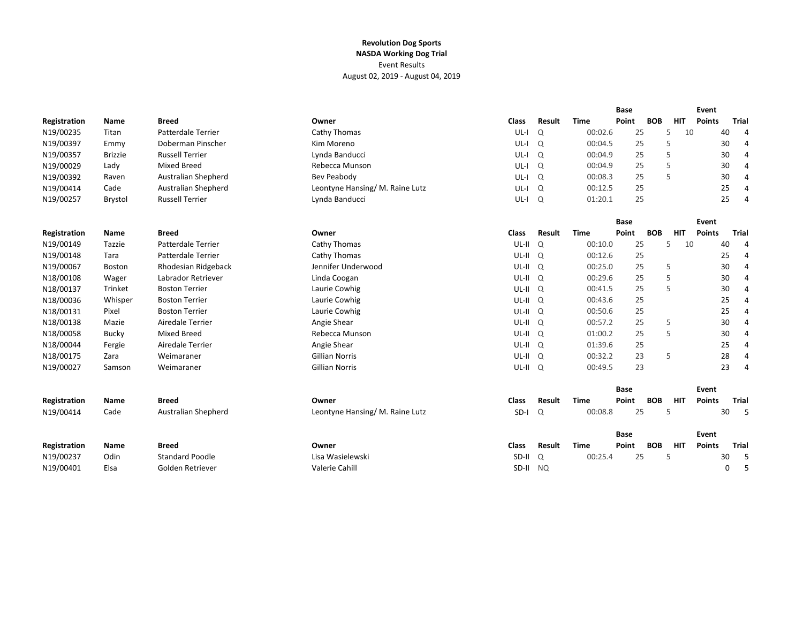|              |                |                            |                                |              |        |             | Base        |            |            | Event         |                      |
|--------------|----------------|----------------------------|--------------------------------|--------------|--------|-------------|-------------|------------|------------|---------------|----------------------|
| Registration | Name           | <b>Breed</b>               | Owner                          | <b>Class</b> | Result | <b>Time</b> | Point       | <b>BOB</b> | <b>HIT</b> | <b>Points</b> | Trial                |
| N19/00235    | Titan          | <b>Patterdale Terrier</b>  | Cathy Thomas                   | $UL-I$       | Q      | 00:02.6     | 25          |            | 10<br>5    |               | 40<br>$\overline{4}$ |
| N19/00397    | Emmy           | Doberman Pinscher          | Kim Moreno                     | $UL-I$       | Q      | 00:04.5     | 25          |            | 5          |               | 30<br>4              |
| N19/00357    | <b>Brizzie</b> | <b>Russell Terrier</b>     | Lynda Banducci                 | $UL-I$       | Q      | 00:04.9     | 25          |            | 5          |               | 30<br>4              |
| N19/00029    | Lady           | <b>Mixed Breed</b>         | Rebecca Munson                 | $UL-I$       | Q      | 00:04.9     | 25          |            | 5          |               | 30<br>4              |
| N19/00392    | Raven          | Australian Shepherd        | Bev Peabody                    | $UL-I$       | Q      | 00:08.3     | 25          |            | 5          |               | 30<br>4              |
| N19/00414    | Cade           | Australian Shepherd        | Leontyne Hansing/M. Raine Lutz | $UL-I$       | Q      | 00:12.5     | 25          |            |            |               | 25<br>4              |
| N19/00257    | <b>Brystol</b> | <b>Russell Terrier</b>     | Lynda Banducci                 | UL-I         | Q      | 01:20.1     | 25          |            |            |               | 25<br>4              |
|              |                |                            |                                |              |        |             | Base        |            |            | Event         |                      |
| Registration | Name           | <b>Breed</b>               | Owner                          | <b>Class</b> | Result | <b>Time</b> | Point       | <b>BOB</b> | <b>HIT</b> | <b>Points</b> | Trial                |
| N19/00149    | Tazzie         | <b>Patterdale Terrier</b>  | Cathy Thomas                   | UL-II Q      |        | 00:10.0     | 25          |            | 5<br>10    |               | 40<br>4              |
| N19/00148    | Tara           | <b>Patterdale Terrier</b>  | Cathy Thomas                   | UL-II Q      |        | 00:12.6     | 25          |            |            |               | 25<br>4              |
| N19/00067    | Boston         | Rhodesian Ridgeback        | Jennifer Underwood             | $UL-II$ $Q$  |        | 00:25.0     | 25          |            | 5          |               | 30<br>4              |
| N18/00108    | Wager          | Labrador Retriever         | Linda Coogan                   | UL-II Q      |        | 00:29.6     | 25          |            | 5          |               | 30<br>4              |
| N18/00137    | Trinket        | <b>Boston Terrier</b>      | Laurie Cowhig                  | UL-II Q      |        | 00:41.5     | 25          |            | 5          |               | 30<br>4              |
| N18/00036    | Whisper        | <b>Boston Terrier</b>      | Laurie Cowhig                  | $UL-II$ $Q$  |        | 00:43.6     | 25          |            |            |               | 25<br>4              |
| N18/00131    | Pixel          | <b>Boston Terrier</b>      | Laurie Cowhig                  | UL-II Q      |        | 00:50.6     | 25          |            |            |               | 25<br>4              |
| N18/00138    | Mazie          | Airedale Terrier           | Angie Shear                    | UL-II Q      |        | 00:57.2     | 25          |            | 5          |               | 30<br>4              |
| N18/00058    | <b>Bucky</b>   | <b>Mixed Breed</b>         | Rebecca Munson                 | UL-II Q      |        | 01:00.2     | 25          |            | 5          |               | 30<br>4              |
| N18/00044    | Fergie         | Airedale Terrier           | Angie Shear                    | UL-II Q      |        | 01:39.6     | 25          |            |            |               | 25<br>4              |
| N18/00175    | Zara           | Weimaraner                 | <b>Gillian Norris</b>          | $UL-II$ $Q$  |        | 00:32.2     | 23          |            | 5          |               | 28<br>4              |
| N19/00027    | Samson         | Weimaraner                 | <b>Gillian Norris</b>          | UL-II Q      |        | 00:49.5     | 23          |            |            |               | 23<br>4              |
|              |                |                            |                                |              |        |             | <b>Base</b> |            |            | Event         |                      |
| Registration | Name           | <b>Breed</b>               | Owner                          | Class        | Result | Time        | Point       | <b>BOB</b> | <b>HIT</b> | <b>Points</b> | Trial                |
| N19/00414    | Cade           | <b>Australian Shepherd</b> | Leontyne Hansing/M. Raine Lutz | SD-I         | Q      | 00:08.8     | 25          |            | 5          |               | 30<br>$-5$           |
|              |                |                            |                                |              |        |             | Base        |            |            | Event         |                      |
| Registration | Name           | Breed                      | Owner                          | <b>Class</b> | Result | <b>Time</b> | Point       | <b>BOB</b> | <b>HIT</b> | <b>Points</b> | Trial                |
| N19/00237    | Odin           | <b>Standard Poodle</b>     | Lisa Wasielewski               | SD-II        | Q      | 00:25.4     | 25          |            | 5          |               | -5<br>30             |
| N19/00401    | Elsa           | Golden Retriever           | Valerie Cahill                 | SD-II        | NO.    |             |             |            |            |               | 0<br>5               |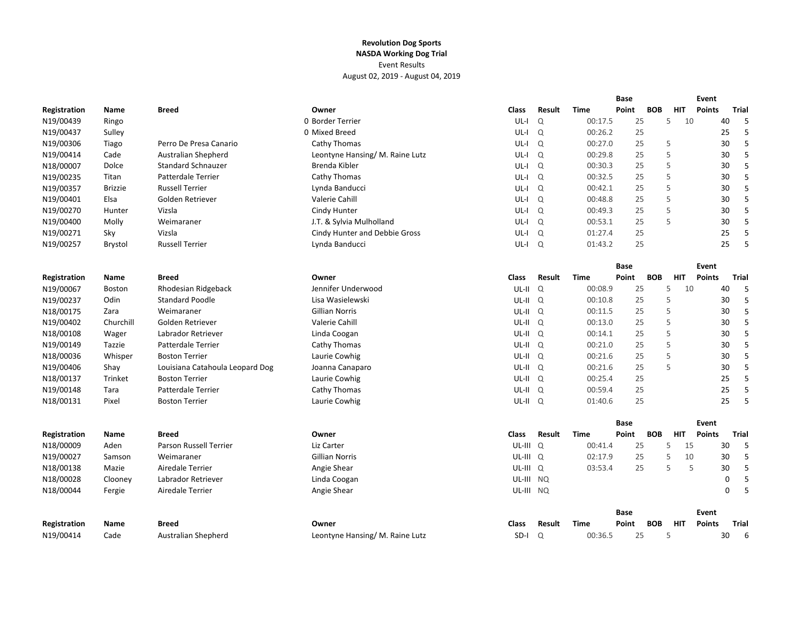|              |                |                                 |                                |                     |               |             | <b>Base</b> |            |            | Event         |             |       |
|--------------|----------------|---------------------------------|--------------------------------|---------------------|---------------|-------------|-------------|------------|------------|---------------|-------------|-------|
| Registration | Name           | <b>Breed</b>                    | Owner                          | Class               | Result        | Time        | Point       | <b>BOB</b> | <b>HIT</b> | Points        |             | Trial |
| N19/00439    | Ringo          |                                 | 0 Border Terrier               | UL-I                | $\Omega$      | 00:17.5     | 25          |            | 5          | 10            | 40          | 5     |
| N19/00437    | Sulley         |                                 | 0 Mixed Breed                  | UL-I                | Q             | 00:26.2     | 25          |            |            |               | 25          | 5     |
| N19/00306    | Tiago          | Perro De Presa Canario          | Cathy Thomas                   | UL-I                | $\Omega$      | 00:27.0     | 25          |            | 5          |               | 30          | 5     |
| N19/00414    | Cade           | Australian Shepherd             | Leontyne Hansing/M. Raine Lutz | UL-I                | Q             | 00:29.8     | 25          |            | 5          |               | 30          | 5     |
| N18/00007    | Dolce          | <b>Standard Schnauzer</b>       | Brenda Kibler                  | $UL-I$ $Q$          |               | 00:30.3     | 25          |            | 5          |               | 30          | 5     |
| N19/00235    | Titan          | Patterdale Terrier              | Cathy Thomas                   | UL-I Q              |               | 00:32.5     | 25          |            | 5          |               | 30          | 5     |
| N19/00357    | <b>Brizzie</b> | <b>Russell Terrier</b>          | Lynda Banducci                 | UL-I Q              |               | 00:42.1     | 25          |            | 5          |               | 30          | 5     |
| N19/00401    | Elsa           | Golden Retriever                | Valerie Cahill                 | UL-I Q              |               | 00:48.8     | 25          |            | 5          |               | 30          | 5     |
| N19/00270    | Hunter         | Vizsla                          | Cindy Hunter                   | UL-I Q              |               | 00:49.3     | 25          |            | 5          |               | 30          | 5     |
| N19/00400    | Molly          | Weimaraner                      | J.T. & Sylvia Mulholland       | UL-I                | Q             | 00:53.1     | 25          |            | 5          |               | 30          | 5     |
| N19/00271    | Sky            | Vizsla                          | Cindy Hunter and Debbie Gross  | UL-I                | $\Omega$      | 01:27.4     | 25          |            |            |               | 25          | 5     |
| N19/00257    | Brystol        | <b>Russell Terrier</b>          | Lynda Banducci                 | UL-I Q              |               | 01:43.2     | 25          |            |            |               | 25          | 5     |
|              |                |                                 |                                |                     |               |             | Base        |            |            | Event         |             |       |
| Registration | Name           | <b>Breed</b>                    | Owner                          | <b>Class</b>        | Result        | <b>Time</b> | Point       | <b>BOB</b> | <b>HIT</b> | <b>Points</b> |             | Trial |
| N19/00067    | <b>Boston</b>  | Rhodesian Ridgeback             | Jennifer Underwood             | UL-II Q             |               | 00:08.9     | 25          |            | 5          | 10            | 40          | 5     |
| N19/00237    | Odin           | <b>Standard Poodle</b>          | Lisa Wasielewski               | $UL-II$ $Q$         |               | 00:10.8     | 25          |            | 5          |               | 30          | 5     |
| N18/00175    | Zara           | Weimaraner                      | <b>Gillian Norris</b>          | UL-II Q             |               | 00:11.5     | 25          |            | 5          |               | 30          | 5     |
| N19/00402    | Churchill      | Golden Retriever                | Valerie Cahill                 | $UL-II$ $Q$         |               | 00:13.0     | 25          |            | 5          |               | 30          | 5     |
| N18/00108    | Wager          | Labrador Retriever              | Linda Coogan                   | UL-II Q             |               | 00:14.1     | 25          |            | 5          |               | 30          | 5     |
| N19/00149    | Tazzie         | Patterdale Terrier              | Cathy Thomas                   | $UL-II$ $Q$         |               | 00:21.0     | 25          |            | 5          |               | 30          | 5     |
| N18/00036    | Whisper        | <b>Boston Terrier</b>           | Laurie Cowhig                  | UL-II Q             |               | 00:21.6     | 25          |            | 5          |               | 30          | 5     |
| N19/00406    | Shay           | Louisiana Catahoula Leopard Dog | Joanna Canaparo                | UL-II Q             |               | 00:21.6     | 25          |            | 5          |               | 30          | 5     |
| N18/00137    | Trinket        | <b>Boston Terrier</b>           | Laurie Cowhig                  | UL-II Q             |               | 00:25.4     | 25          |            |            |               | 25          | 5     |
| N19/00148    | Tara           | Patterdale Terrier              | Cathy Thomas                   | $UL-II$ $Q$         |               | 00:59.4     | 25          |            |            |               | 25          | 5     |
| N18/00131    | Pixel          | <b>Boston Terrier</b>           | Laurie Cowhig                  | UL-II Q             |               | 01:40.6     | 25          |            |            |               | 25          | 5     |
|              |                |                                 |                                |                     |               |             | Base        |            |            | Event         |             |       |
| Registration | Name           | <b>Breed</b>                    | Owner                          | <b>Class</b>        | Result        | <b>Time</b> | Point       | <b>BOB</b> | <b>HIT</b> | <b>Points</b> |             | Trial |
| N18/00009    | Aden           | Parson Russell Terrier          | Liz Carter                     | UL-III Q            |               | 00:41.4     | 25          |            | 5          | 15            | 30          | 5     |
| N19/00027    | Samson         | Weimaraner                      | <b>Gillian Norris</b>          | UL-III Q            |               | 02:17.9     | 25          |            | 5          | 10            | 30          | 5     |
| N18/00138    | Mazie          | Airedale Terrier                | Angie Shear                    | UL-III <sup>Q</sup> |               | 03:53.4     | 25          |            | 5          | 5             | 30          | 5     |
| N18/00028    | Clooney        | Labrador Retriever              | Linda Coogan                   | UL-III              | NQ.           |             |             |            |            |               | $\mathbf 0$ | 5     |
| N18/00044    | Fergie         | Airedale Terrier                | Angie Shear                    | UL-III NQ           |               |             |             |            |            |               | $\mathbf 0$ | 5     |
|              |                |                                 |                                |                     |               |             | <b>Base</b> |            |            | Event         |             |       |
| Registration | Name           | <b>Breed</b>                    | Owner                          | Class               | <b>Result</b> | Time        | Point       | <b>BOB</b> | HIT        | <b>Points</b> |             | Trial |
| N19/00414    | Cade           | Australian Shepherd             | Leontyne Hansing/M. Raine Lutz | SD-I                | $\Omega$      | 00:36.5     | 25          |            | 5          |               | 30          | 6     |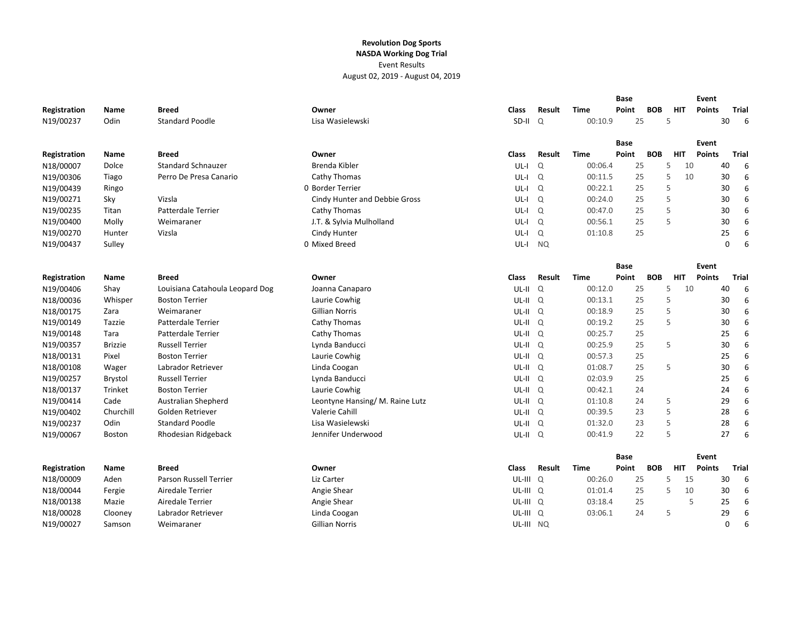|              |                |                                 |                                |                     |           |             | Base        |            |            | Event         |    |              |
|--------------|----------------|---------------------------------|--------------------------------|---------------------|-----------|-------------|-------------|------------|------------|---------------|----|--------------|
| Registration | Name           | <b>Breed</b>                    | Owner                          | <b>Class</b>        | Result    | Time        | Point       | <b>BOB</b> | <b>HIT</b> | <b>Points</b> |    | <b>Trial</b> |
| N19/00237    | Odin           | <b>Standard Poodle</b>          | Lisa Wasielewski               | $SD-II$ $Q$         |           | 00:10.9     | 25          |            | 5          |               | 30 | 6            |
|              |                |                                 |                                |                     |           |             |             |            |            |               |    |              |
|              |                |                                 |                                |                     |           |             | <b>Base</b> |            |            | Event         |    |              |
| Registration | Name           | <b>Breed</b>                    | Owner                          | <b>Class</b>        | Result    | Time        | Point       | <b>BOB</b> | <b>HIT</b> | <b>Points</b> |    | <b>Trial</b> |
| N18/00007    | Dolce          | <b>Standard Schnauzer</b>       | Brenda Kibler                  | $UL-I$              | $\Omega$  | 00:06.4     | 25          |            | 5          | 10            | 40 | 6            |
| N19/00306    | Tiago          | Perro De Presa Canario          | Cathy Thomas                   | $UL-I$              | Q         | 00:11.5     | 25          |            | 5          | 10            | 30 | 6            |
| N19/00439    | Ringo          |                                 | 0 Border Terrier               | $UL-I$              | $\Omega$  | 00:22.1     | 25          |            | 5          |               | 30 | 6            |
| N19/00271    | Sky            | Vizsla                          | Cindy Hunter and Debbie Gross  | UL-I                | $\alpha$  | 00:24.0     | 25          |            | 5          |               | 30 | 6            |
| N19/00235    | Titan          | <b>Patterdale Terrier</b>       | Cathy Thomas                   | UL-I                | $\Omega$  | 00:47.0     | 25          |            | 5          |               | 30 | 6            |
| N19/00400    | Molly          | Weimaraner                      | J.T. & Sylvia Mulholland       | UL-I                | $\Omega$  | 00:56.1     | 25          |            | 5          |               | 30 | 6            |
| N19/00270    | Hunter         | Vizsla                          | Cindy Hunter                   | UL-I                | Q         | 01:10.8     | 25          |            |            |               | 25 | 6            |
| N19/00437    | Sulley         |                                 | 0 Mixed Breed                  | UL-I                | <b>NQ</b> |             |             |            |            |               | 0  | 6            |
|              |                |                                 |                                |                     |           |             |             |            |            |               |    |              |
|              |                |                                 |                                |                     |           |             | <b>Base</b> |            |            | Event         |    |              |
| Registration | Name           | <b>Breed</b>                    | Owner                          | <b>Class</b>        | Result    | <b>Time</b> | Point       | <b>BOB</b> | <b>HIT</b> | <b>Points</b> |    | Trial        |
| N19/00406    | Shay           | Louisiana Catahoula Leopard Dog | Joanna Canaparo                | $UL-II$             | Q         | 00:12.0     | 25          |            | 5          | 10            | 40 | 6            |
| N18/00036    | Whisper        | <b>Boston Terrier</b>           | Laurie Cowhig                  | UL-II <sub>Q</sub>  |           | 00:13.1     | 25          |            | 5          |               | 30 | 6            |
| N18/00175    | Zara           | Weimaraner                      | <b>Gillian Norris</b>          | UL-II Q             |           | 00:18.9     | 25          |            | 5          |               | 30 | 6            |
| N19/00149    | Tazzie         | Patterdale Terrier              | Cathy Thomas                   | $UL-II$ $Q$         |           | 00:19.2     | 25          |            | 5          |               | 30 | 6            |
| N19/00148    | Tara           | Patterdale Terrier              | Cathy Thomas                   | UL-II Q             |           | 00:25.7     | 25          |            |            |               | 25 | 6            |
| N19/00357    | <b>Brizzie</b> | <b>Russell Terrier</b>          | Lynda Banducci                 | $UL-II$ $Q$         |           | 00:25.9     | 25          |            | 5          |               | 30 | 6            |
| N18/00131    | Pixel          | <b>Boston Terrier</b>           | Laurie Cowhig                  | UL-II Q             |           | 00:57.3     | 25          |            |            |               | 25 | 6            |
| N18/00108    | Wager          | Labrador Retriever              | Linda Coogan                   | $UL-II$ $Q$         |           | 01:08.7     | 25          |            | 5          |               | 30 | 6            |
| N19/00257    | Brystol        | <b>Russell Terrier</b>          | Lynda Banducci                 | $UL-II$ $Q$         |           | 02:03.9     | 25          |            |            |               | 25 | 6            |
| N18/00137    | Trinket        | <b>Boston Terrier</b>           | Laurie Cowhig                  | $UL-II$ $Q$         |           | 00:42.1     | 24          |            |            |               | 24 | 6            |
| N19/00414    | Cade           | <b>Australian Shepherd</b>      | Leontyne Hansing/M. Raine Lutz | $UL-II$ $Q$         |           | 01:10.8     | 24          |            | 5          |               | 29 | 6            |
| N19/00402    | Churchill      | Golden Retriever                | Valerie Cahill                 | $UL-II$ $Q$         |           | 00:39.5     | 23          |            | 5          |               | 28 | 6            |
| N19/00237    | Odin           | <b>Standard Poodle</b>          | Lisa Wasielewski               | UL-II Q             |           | 01:32.0     | 23          |            | 5          |               | 28 | 6            |
| N19/00067    | Boston         | Rhodesian Ridgeback             | Jennifer Underwood             | UL-II Q             |           | 00:41.9     | 22          |            | 5          |               | 27 | 6            |
|              |                |                                 |                                |                     |           |             |             |            |            |               |    |              |
|              |                |                                 |                                |                     |           |             | Base        |            |            | Event         |    |              |
| Registration | Name           | <b>Breed</b>                    | Owner                          | <b>Class</b>        | Result    | Time        | Point       | <b>BOB</b> | <b>HIT</b> | <b>Points</b> |    | Trial        |
| N18/00009    | Aden           | <b>Parson Russell Terrier</b>   | Liz Carter                     | UL-III Q            |           | 00:26.0     | 25          |            | 5          | 15            | 30 | 6            |
| N18/00044    | Fergie         | Airedale Terrier                | Angie Shear                    | UL-III <sub>Q</sub> |           | 01:01.4     | 25          |            | 5          | 10            | 30 | 6            |
| N18/00138    | Mazie          | Airedale Terrier                | Angie Shear                    | UL-III <sub>Q</sub> |           | 03:18.4     | 25          |            |            | 5             | 25 | 6            |
| N18/00028    | Clooney        | Labrador Retriever              | Linda Coogan                   | UL-III Q            |           | 03:06.1     | 24          |            | 5          |               | 29 | 6            |
| N19/00027    | Samson         | Weimaraner                      | <b>Gillian Norris</b>          | UL-III NQ           |           |             |             |            |            |               | 0  | 6            |
|              |                |                                 |                                |                     |           |             |             |            |            |               |    |              |